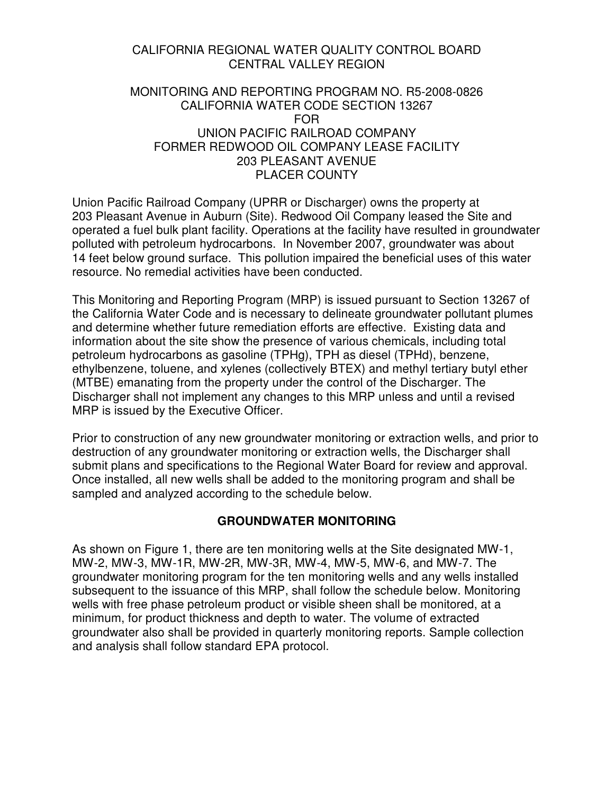## CALIFORNIA REGIONAL WATER QUALITY CONTROL BOARD CENTRAL VALLEY REGION

## MONITORING AND REPORTING PROGRAM NO. R5-2008-0826 CALIFORNIA WATER CODE SECTION 13267 FOR UNION PACIFIC RAILROAD COMPANY FORMER REDWOOD OIL COMPANY LEASE FACILITY 203 PLEASANT AVENUE PLACER COUNTY

Union Pacific Railroad Company (UPRR or Discharger) owns the property at 203 Pleasant Avenue in Auburn (Site). Redwood Oil Company leased the Site and operated a fuel bulk plant facility. Operations at the facility have resulted in groundwater polluted with petroleum hydrocarbons. In November 2007, groundwater was about 14 feet below ground surface. This pollution impaired the beneficial uses of this water resource. No remedial activities have been conducted.

This Monitoring and Reporting Program (MRP) is issued pursuant to Section 13267 of the California Water Code and is necessary to delineate groundwater pollutant plumes and determine whether future remediation efforts are effective. Existing data and information about the site show the presence of various chemicals, including total petroleum hydrocarbons as gasoline (TPHg), TPH as diesel (TPHd), benzene, ethylbenzene, toluene, and xylenes (collectively BTEX) and methyl tertiary butyl ether (MTBE) emanating from the property under the control of the Discharger. The Discharger shall not implement any changes to this MRP unless and until a revised MRP is issued by the Executive Officer.

Prior to construction of any new groundwater monitoring or extraction wells, and prior to destruction of any groundwater monitoring or extraction wells, the Discharger shall submit plans and specifications to the Regional Water Board for review and approval. Once installed, all new wells shall be added to the monitoring program and shall be sampled and analyzed according to the schedule below.

## **GROUNDWATER MONITORING**

As shown on Figure 1, there are ten monitoring wells at the Site designated MW-1, MW-2, MW-3, MW-1R, MW-2R, MW-3R, MW-4, MW-5, MW-6, and MW-7. The groundwater monitoring program for the ten monitoring wells and any wells installed subsequent to the issuance of this MRP, shall follow the schedule below. Monitoring wells with free phase petroleum product or visible sheen shall be monitored, at a minimum, for product thickness and depth to water. The volume of extracted groundwater also shall be provided in quarterly monitoring reports. Sample collection and analysis shall follow standard EPA protocol.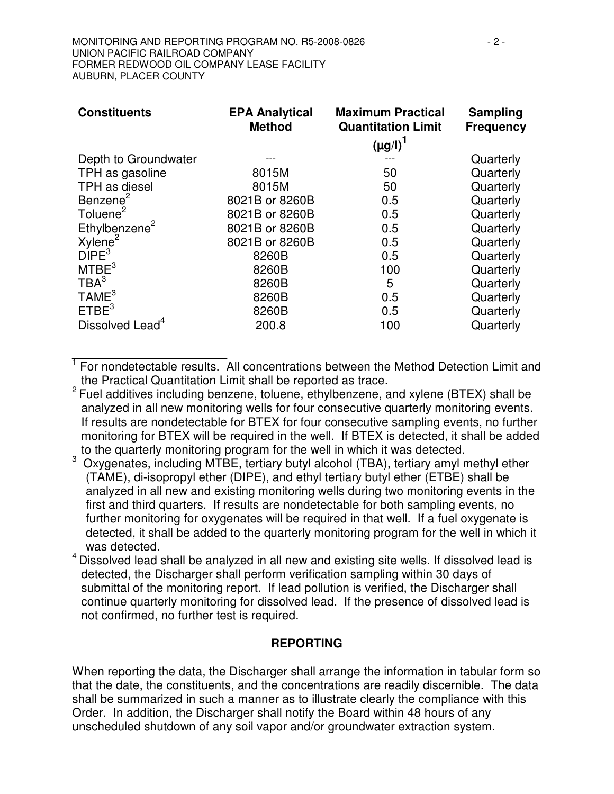| <b>Constituents</b>         | <b>EPA Analytical</b><br><b>Method</b> | <b>Maximum Practical</b><br><b>Quantitation Limit</b> | Sampling<br><b>Frequency</b> |
|-----------------------------|----------------------------------------|-------------------------------------------------------|------------------------------|
|                             |                                        | $(\mu g/I)^T$                                         |                              |
| Depth to Groundwater        |                                        |                                                       | Quarterly                    |
| TPH as gasoline             | 8015M                                  | 50                                                    | Quarterly                    |
| TPH as diesel               | 8015M                                  | 50                                                    | Quarterly                    |
| Benzene <sup>2</sup>        | 8021B or 8260B                         | 0.5                                                   | Quarterly                    |
| Toluene <sup>2</sup>        | 8021B or 8260B                         | 0.5                                                   | Quarterly                    |
| Ethylbenzene <sup>2</sup>   | 8021B or 8260B                         | 0.5                                                   | Quarterly                    |
| Xylene <sup>2</sup>         | 8021B or 8260B                         | 0.5                                                   | Quarterly                    |
| DIPE <sup>3</sup>           | 8260B                                  | 0.5                                                   | Quarterly                    |
| MTEE <sup>3</sup>           | 8260B                                  | 100                                                   | Quarterly                    |
| TBA <sup>3</sup>            | 8260B                                  | 5                                                     | Quarterly                    |
| TAME <sup>3</sup>           | 8260B                                  | 0.5                                                   | Quarterly                    |
| ETBE <sup>3</sup>           | 8260B                                  | 0.5                                                   | Quarterly                    |
| Dissolved Lead <sup>4</sup> | 200.8                                  | 100                                                   | Quarterly                    |

1<br><sup>1</sup> For nondetectable results. All concentrations between the Method Detection Limit and the Practical Quantitation Limit shall be reported as trace.

 $2$  Fuel additives including benzene, toluene, ethylbenzene, and xylene (BTEX) shall be analyzed in all new monitoring wells for four consecutive quarterly monitoring events. If results are nondetectable for BTEX for four consecutive sampling events, no further monitoring for BTEX will be required in the well. If BTEX is detected, it shall be added to the quarterly monitoring program for the well in which it was detected.

- <sup>3</sup> Oxygenates, including MTBE, tertiary butyl alcohol (TBA), tertiary amyl methyl ether (TAME), di-isopropyl ether (DIPE), and ethyl tertiary butyl ether (ETBE) shall be analyzed in all new and existing monitoring wells during two monitoring events in the first and third quarters. If results are nondetectable for both sampling events, no further monitoring for oxygenates will be required in that well. If a fuel oxygenate is detected, it shall be added to the quarterly monitoring program for the well in which it was detected.
- <sup>4</sup> Dissolved lead shall be analyzed in all new and existing site wells. If dissolved lead is detected, the Discharger shall perform verification sampling within 30 days of submittal of the monitoring report. If lead pollution is verified, the Discharger shall continue quarterly monitoring for dissolved lead. If the presence of dissolved lead is not confirmed, no further test is required.

## **REPORTING**

When reporting the data, the Discharger shall arrange the information in tabular form so that the date, the constituents, and the concentrations are readily discernible. The data shall be summarized in such a manner as to illustrate clearly the compliance with this Order. In addition, the Discharger shall notify the Board within 48 hours of any unscheduled shutdown of any soil vapor and/or groundwater extraction system.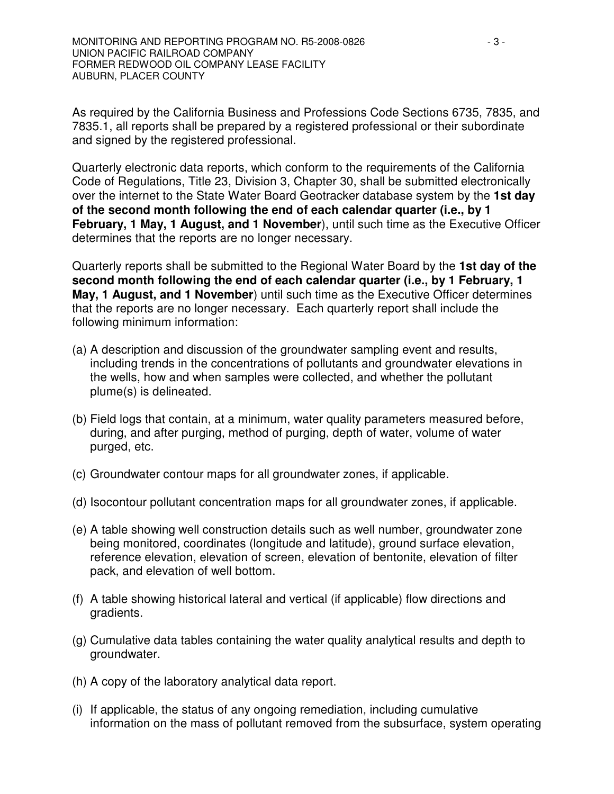As required by the California Business and Professions Code Sections 6735, 7835, and 7835.1, all reports shall be prepared by a registered professional or their subordinate and signed by the registered professional.

Quarterly electronic data reports, which conform to the requirements of the California Code of Regulations, Title 23, Division 3, Chapter 30, shall be submitted electronically over the internet to the State Water Board Geotracker database system by the **1st day of the second month following the end of each calendar quarter (i.e., by 1 February, 1 May, 1 August, and 1 November**), until such time as the Executive Officer determines that the reports are no longer necessary.

Quarterly reports shall be submitted to the Regional Water Board by the **1st day of the second month following the end of each calendar quarter (i.e., by 1 February, 1 May, 1 August, and 1 November**) until such time as the Executive Officer determines that the reports are no longer necessary. Each quarterly report shall include the following minimum information:

- (a) A description and discussion of the groundwater sampling event and results, including trends in the concentrations of pollutants and groundwater elevations in the wells, how and when samples were collected, and whether the pollutant plume(s) is delineated.
- (b) Field logs that contain, at a minimum, water quality parameters measured before, during, and after purging, method of purging, depth of water, volume of water purged, etc.
- (c) Groundwater contour maps for all groundwater zones, if applicable.
- (d) Isocontour pollutant concentration maps for all groundwater zones, if applicable.
- (e) A table showing well construction details such as well number, groundwater zone being monitored, coordinates (longitude and latitude), ground surface elevation, reference elevation, elevation of screen, elevation of bentonite, elevation of filter pack, and elevation of well bottom.
- (f) A table showing historical lateral and vertical (if applicable) flow directions and gradients.
- (g) Cumulative data tables containing the water quality analytical results and depth to groundwater.
- (h) A copy of the laboratory analytical data report.
- (i) If applicable, the status of any ongoing remediation, including cumulative information on the mass of pollutant removed from the subsurface, system operating